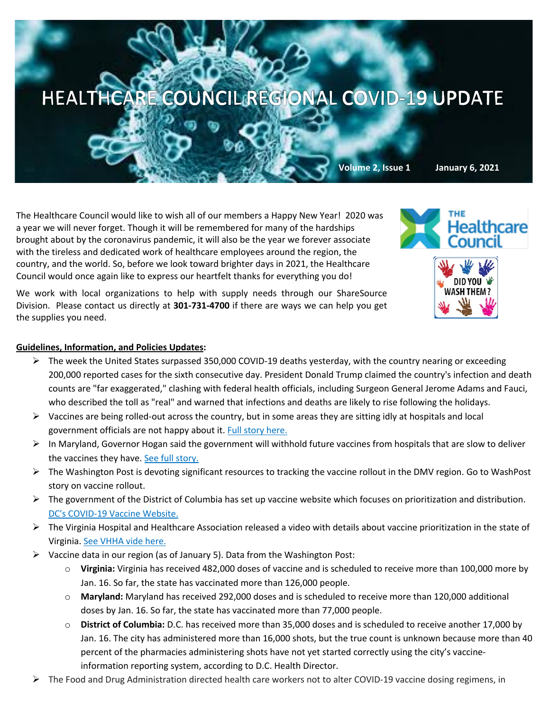

The Healthcare Council would like to wish all of our members a Happy New Year! 2020 was a year we will never forget. Though it will be remembered for many of the hardships brought about by the coronavirus pandemic, it will also be the year we forever associate with the tireless and dedicated work of healthcare employees around the region, the country, and the world. So, before we look toward brighter days in 2021, the Healthcare Council would once again like to express our heartfelt thanks for everything you do!

We work with local organizations to help with supply needs through our ShareSource Division. Please contact us directly at **301-731-4700** if there are ways we can help you get the supplies you need.



## **Guidelines, Information, and Policies Updates:**

- $\triangleright$  The week the United States surpassed 350,000 COVID-19 deaths yesterday, with the country nearing or exceeding 200,000 reported cases for the sixth consecutive day. President Donald Trump claimed the country's infection and death counts are "far exaggerated," clashing with federal health officials, including Surgeon General Jerome Adams and Fauci, who described the toll as "real" and warned that infections and deaths are likely to rise following the holidays.
- $\triangleright$  Vaccines are being rolled-out across the country, but in some areas they are sitting idly at hospitals and local government officials are not happy about it. Full story here.
- $\triangleright$  In Maryland, Governor Hogan said the government will withhold future vaccines from hospitals that are slow to deliver the vaccines they have. See full story.
- $\triangleright$  The Washington Post is devoting significant resources to tracking the vaccine rollout in the DMV region. Go to WashPost story on vaccine rollout.
- $\triangleright$  The government of the District of Columbia has set up vaccine website which focuses on prioritization and distribution. DC's COVID-19 Vaccine Website.
- $\triangleright$  The Virginia Hospital and Healthcare Association released a video with details about vaccine prioritization in the state of Virginia. See VHHA vide here.
- $\triangleright$  Vaccine data in our region (as of January 5). Data from the Washington Post:
	- o **Virginia:** Virginia has received 482,000 doses of vaccine and is scheduled to receive more than 100,000 more by Jan. 16. So far, the state has vaccinated more than 126,000 people.
	- o **Maryland:** Maryland has received 292,000 doses and is scheduled to receive more than 120,000 additional doses by Jan. 16. So far, the state has vaccinated more than 77,000 people.
	- o **District of Columbia:** D.C. has received more than 35,000 doses and is scheduled to receive another 17,000 by Jan. 16. The city has administered more than 16,000 shots, but the true count is unknown because more than 40 percent of the pharmacies administering shots have not yet started correctly using the city's vaccineinformation reporting system, according to D.C. Health Director.
- Ø The Food and Drug Administration directed health care workers not to alter COVID-19 vaccine dosing regimens, in